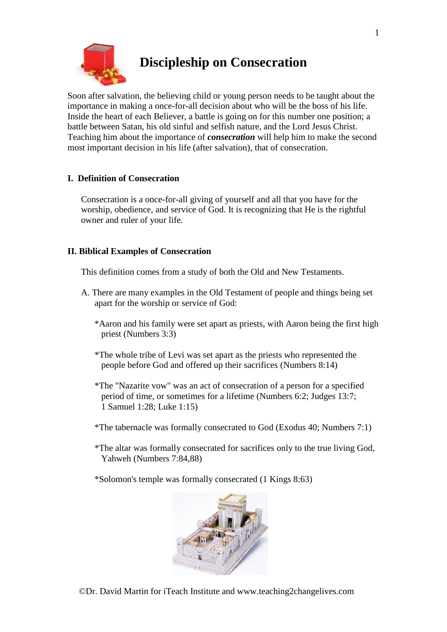

# **Discipleship on Consecration**

Soon after salvation, the believing child or young person needs to be taught about the importance in making a once-for-all decision about who will be the boss of his life. Inside the heart of each Believer, a battle is going on for this number one position; a battle between Satan, his old sinful and selfish nature, and the Lord Jesus Christ. Teaching him about the importance of *consecration* will help him to make the second most important decision in his life (after salvation), that of consecration.

# **I. Definition of Consecration**

Consecration is a once-for-all giving of yourself and all that you have for the worship, obedience, and service of God. It is recognizing that He is the rightful owner and ruler of your life.

## **II. Biblical Examples of Consecration**

This definition comes from a study of both the Old and New Testaments.

- A. There are many examples in the Old Testament of people and things being set apart for the worship or service of God:
	- \*Aaron and his family were set apart as priests, with Aaron being the first high priest (Numbers 3:3)
	- \*The whole tribe of Levi was set apart as the priests who represented the people before God and offered up their sacrifices (Numbers 8:14)
	- \*The "Nazarite vow" was an act of consecration of a person for a specified period of time, or sometimes for a lifetime (Numbers 6:2; Judges 13:7; 1 Samuel 1:28; Luke 1:15)
	- \*The tabernacle was formally consecrated to God (Exodus 40; Numbers 7:1)
	- \*The altar was formally consecrated for sacrifices only to the true living God, Yahweh (Numbers 7:84,88)
	- \*Solomon's temple was formally consecrated (1 Kings 8:63)

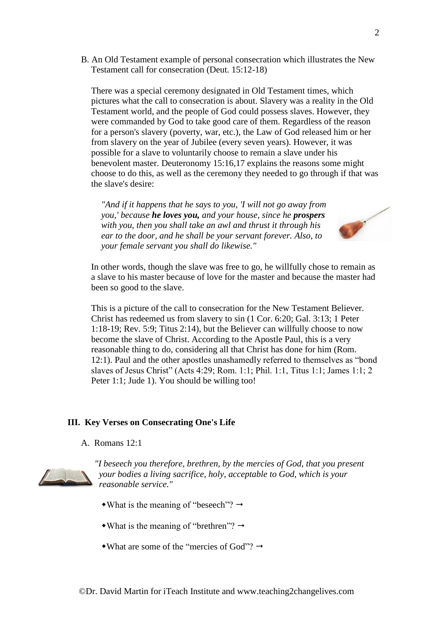B. An Old Testament example of personal consecration which illustrates the New Testament call for consecration (Deut. 15:12-18)

There was a special ceremony designated in Old Testament times, which pictures what the call to consecration is about. Slavery was a reality in the Old Testament world, and the people of God could possess slaves. However, they were commanded by God to take good care of them. Regardless of the reason for a person's slavery (poverty, war, etc.), the Law of God released him or her from slavery on the year of Jubilee (every seven years). However, it was possible for a slave to voluntarily choose to remain a slave under his benevolent master. Deuteronomy 15:16,17 explains the reasons some might choose to do this, as well as the ceremony they needed to go through if that was the slave's desire:

*"And if it happens that he says to you, 'I will not go away from you,' because he loves you, and your house, since he prospers with you, then you shall take an awl and thrust it through his ear to the door, and he shall be your servant forever. Also, to your female servant you shall do likewise."*



In other words, though the slave was free to go, he willfully chose to remain as a slave to his master because of love for the master and because the master had been so good to the slave.

This is a picture of the call to consecration for the New Testament Believer. Christ has redeemed us from slavery to sin (1 Cor. 6:20; Gal. 3:13; 1 Peter 1:18-19; Rev. 5:9; Titus 2:14), but the Believer can willfully choose to now become the slave of Christ. According to the Apostle Paul, this is a very reasonable thing to do, considering all that Christ has done for him (Rom. 12:1). Paul and the other apostles unashamedly referred to themselves as "bond slaves of Jesus Christ" (Acts 4:29; Rom. 1:1; Phil. 1:1, Titus 1:1; James 1:1; 2 Peter 1:1; Jude 1). You should be willing too!

#### **III. Key Verses on Consecrating One's Life**

A. Romans 12:1



*"I beseech you therefore, brethren, by the mercies of God, that you present your bodies a living sacrifice, holy, acceptable to God, which is your reasonable service."*

- What is the meaning of "beseech"?  $\rightarrow$
- What is the meaning of "brethren"?  $\rightarrow$
- What are some of the "mercies of God"?  $\rightarrow$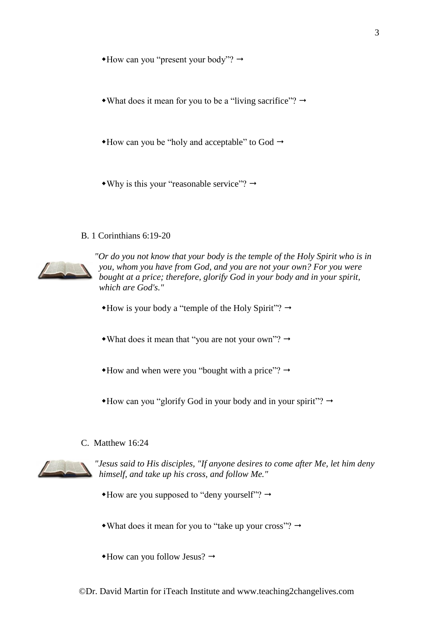$*$ How can you "present your body"?  $\rightarrow$ 

• What does it mean for you to be a "living sacrifice"?  $\rightarrow$ 

 $*$ How can you be "holy and acceptable" to God  $\rightarrow$ 

 $\bullet$  Why is this your "reasonable service"?  $\rightarrow$ 

#### B. 1 Corinthians 6:19-20



*"Or do you not know that your body is the temple of the Holy Spirit who is in you, whom you have from God, and you are not your own? For you were bought at a price; therefore, glorify God in your body and in your spirit, which are God's."*

 $*$  How is your body a "temple of the Holy Spirit"?  $\rightarrow$ 

• What does it mean that "you are not your own"?  $\rightarrow$ 

 $*$ How and when were you "bought with a price"?  $\rightarrow$ 

 $*$  How can you "glorify God in your body and in your spirit"?  $\rightarrow$ 

#### C. Matthew 16:24



*"Jesus said to His disciples, "If anyone desires to come after Me, let him deny himself, and take up his cross, and follow Me."*

 $*$ How are you supposed to "deny yourself"?  $\rightarrow$ 

• What does it mean for you to "take up your cross"?  $\rightarrow$ 

 $*$ How can you follow Jesus?  $\rightarrow$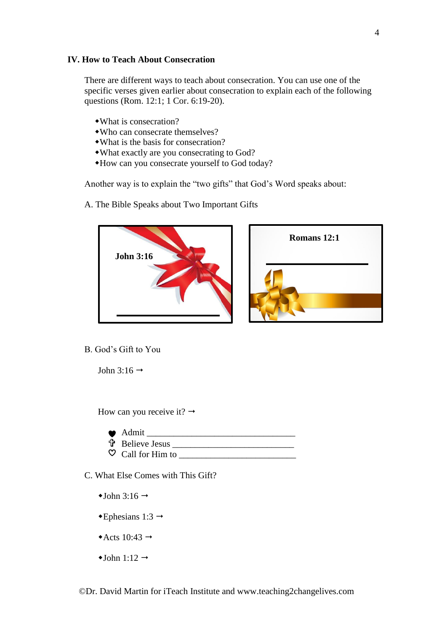#### **IV. How to Teach About Consecration**

There are different ways to teach about consecration. You can use one of the specific verses given earlier about consecration to explain each of the following questions (Rom. 12:1; 1 Cor. 6:19-20).

- What is consecration?
- Who can consecrate themselves?
- What is the basis for consecration?
- What exactly are you consecrating to God?
- How can you consecrate yourself to God today?

Another way is to explain the "two gifts" that God's Word speaks about:

A. The Bible Speaks about Two Important Gifts



B. God's Gift to You

John 3:16  $\rightarrow$ 

How can you receive it?  $\rightarrow$ 

| $\bullet$ Admit              |
|------------------------------|
| <b>th</b> Believe Jesus      |
| $\heartsuit$ Call for Him to |

C. What Else Comes with This Gift?

- $\triangleleft$ John 3:16  $\rightarrow$
- $\triangle$ Ephesians 1:3  $\rightarrow$
- Acts  $10:43 \rightarrow$
- $\triangleleft$ John 1:12  $\rightarrow$

©Dr. David Martin for iTeach Institute and www.teaching2changelives.com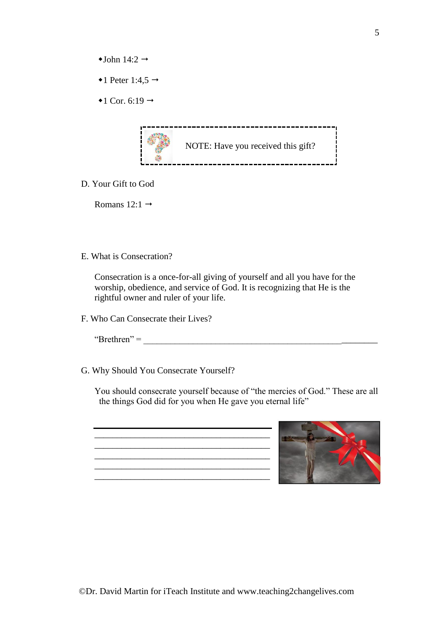- $\triangleleft$ John 14:2  $\rightarrow$
- $\bullet$ 1 Peter 1:4,5  $\rightarrow$
- $\triangleleft$  1 Cor. 6:19  $\rightarrow$



D. Your Gift to God

Romans  $12:1 \rightarrow$ 

E. What is Consecration?

Consecration is a once-for-all giving of yourself and all you have for the worship, obedience, and service of God. It is recognizing that He is the rightful owner and ruler of your life.

F. Who Can Consecrate their Lives?

 $\text{``Brethen''} =$ 

G. Why Should You Consecrate Yourself?

You should consecrate yourself because of "the mercies of God." These are all the things God did for you when He gave you eternal life"

 $\overline{\phantom{a}}$  ,  $\overline{\phantom{a}}$  ,  $\overline{\phantom{a}}$  ,  $\overline{\phantom{a}}$  ,  $\overline{\phantom{a}}$  ,  $\overline{\phantom{a}}$  ,  $\overline{\phantom{a}}$  ,  $\overline{\phantom{a}}$  ,  $\overline{\phantom{a}}$  ,  $\overline{\phantom{a}}$  ,  $\overline{\phantom{a}}$  ,  $\overline{\phantom{a}}$  ,  $\overline{\phantom{a}}$  ,  $\overline{\phantom{a}}$  ,  $\overline{\phantom{a}}$  ,  $\overline{\phantom{a}}$ \_\_\_\_\_\_\_\_\_\_\_\_\_\_\_\_\_\_\_\_\_\_\_\_\_\_\_\_\_\_\_\_\_\_\_\_\_\_\_ \_\_\_\_\_\_\_\_\_\_\_\_\_\_\_\_\_\_\_\_\_\_\_\_\_\_\_\_\_\_\_\_\_\_\_\_\_\_\_  $\frac{1}{2}$  ,  $\frac{1}{2}$  ,  $\frac{1}{2}$  ,  $\frac{1}{2}$  ,  $\frac{1}{2}$  ,  $\frac{1}{2}$  ,  $\frac{1}{2}$  ,  $\frac{1}{2}$  ,  $\frac{1}{2}$  ,  $\frac{1}{2}$  ,  $\frac{1}{2}$  ,  $\frac{1}{2}$  ,  $\frac{1}{2}$  ,  $\frac{1}{2}$  ,  $\frac{1}{2}$  ,  $\frac{1}{2}$  ,  $\frac{1}{2}$  ,  $\frac{1}{2}$  ,  $\frac{1$ 

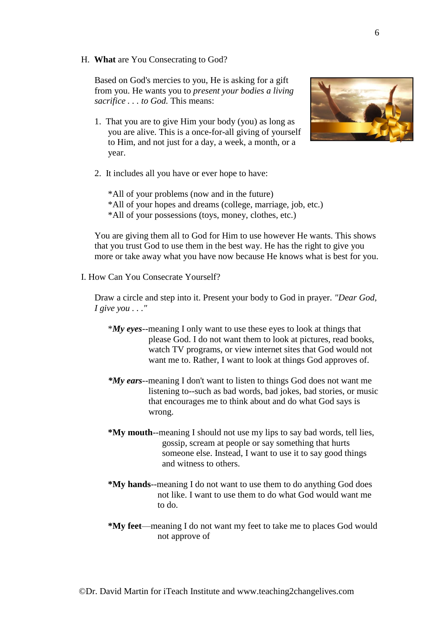H. **What** are You Consecrating to God?

Based on God's mercies to you, He is asking for a gift from you. He wants you to *present your bodies a living sacrifice . . . to God.* This means:

1. That you are to give Him your body (you) as long as you are alive. This is a once-for-all giving of yourself to Him, and not just for a day, a week, a month, or a year.



2. It includes all you have or ever hope to have:

\*All of your problems (now and in the future) \*All of your hopes and dreams (college, marriage, job, etc.) \*All of your possessions (toys, money, clothes, etc.)

You are giving them all to God for Him to use however He wants. This shows that you trust God to use them in the best way. He has the right to give you more or take away what you have now because He knows what is best for you.

I. How Can You Consecrate Yourself?

Draw a circle and step into it. Present your body to God in prayer. *"Dear God, I give you . . ."*

- \**My eyes*--meaning I only want to use these eyes to look at things that please God. I do not want them to look at pictures, read books, watch TV programs, or view internet sites that God would not want me to. Rather, I want to look at things God approves of.
- *\*My ears*--meaning I don't want to listen to things God does not want me listening to--such as bad words, bad jokes, bad stories, or music that encourages me to think about and do what God says is wrong.
- **\*My mouth**--meaning I should not use my lips to say bad words, tell lies, gossip, scream at people or say something that hurts someone else. Instead, I want to use it to say good things and witness to others.
- **\*My hands**--meaning I do not want to use them to do anything God does not like. I want to use them to do what God would want me to do.
- **\*My feet**—meaning I do not want my feet to take me to places God would not approve of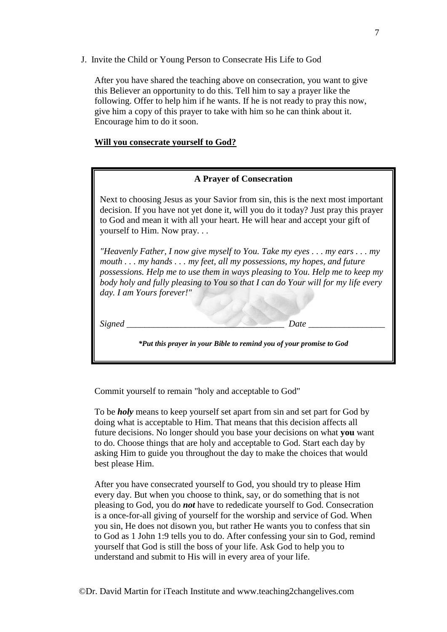J. Invite the Child or Young Person to Consecrate His Life to God

After you have shared the teaching above on consecration, you want to give this Believer an opportunity to do this. Tell him to say a prayer like the following. Offer to help him if he wants. If he is not ready to pray this now, give him a copy of this prayer to take with him so he can think about it. Encourage him to do it soon.

#### **Will you consecrate yourself to God?**

## **A Prayer of Consecration**

Next to choosing Jesus as your Savior from sin, this is the next most important decision. If you have not yet done it, will you do it today? Just pray this prayer to God and mean it with all your heart. He will hear and accept your gift of yourself to Him. Now pray. . .

*"Heavenly Father, I now give myself to You. Take my eyes . . . my ears . . . my mouth . . . my hands . . . my feet, all my possessions, my hopes, and future possessions. Help me to use them in ways pleasing to You. Help me to keep my body holy and fully pleasing to You so that I can do Your will for my life every day. I am Yours forever!"*

*Signed \_\_\_\_\_\_\_\_\_\_\_\_\_\_\_\_\_\_\_\_\_\_\_\_\_\_\_\_\_\_\_\_\_\_\_ Date \_\_\_\_\_\_\_\_\_\_\_\_\_\_\_\_\_*

*\*Put this prayer in your Bible to remind you of your promise to God*

Commit yourself to remain "holy and acceptable to God"

To be *holy* means to keep yourself set apart from sin and set part for God by doing what is acceptable to Him. That means that this decision affects all future decisions. No longer should you base your decisions on what **you** want to do. Choose things that are holy and acceptable to God. Start each day by asking Him to guide you throughout the day to make the choices that would best please Him.

After you have consecrated yourself to God, you should try to please Him every day. But when you choose to think, say, or do something that is not pleasing to God, you do *not* have to rededicate yourself to God. Consecration is a once-for-all giving of yourself for the worship and service of God. When you sin, He does not disown you, but rather He wants you to confess that sin to God as 1 John 1:9 tells you to do. After confessing your sin to God, remind yourself that God is still the boss of your life. Ask God to help you to understand and submit to His will in every area of your life.